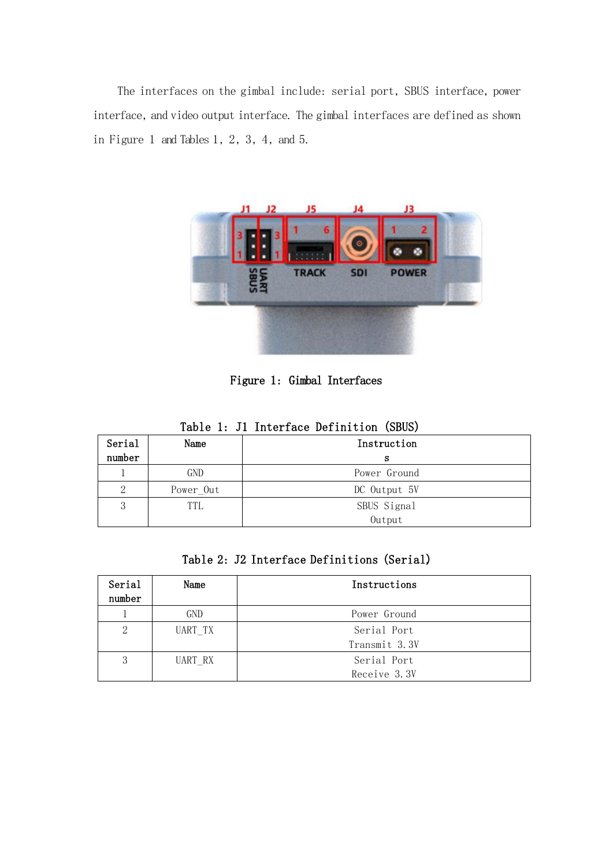The interfaces on the gimbal include: serial port, SBUS interface, power interface, and video output interface. The gimbal interfaces are defined as shown in Figure 1 and Tables 1, 2, 3, 4, and 5.



Figure 1: Gimbal Interfaces

| Serial | Name       | rabio I: 01 involtato bolinivion (bbob)<br>Instruction |
|--------|------------|--------------------------------------------------------|
| number |            |                                                        |
|        |            | s                                                      |
|        | <b>GND</b> | Power Ground                                           |
| 2      | Power Out  | DC Output 5V                                           |
| 3      | TTL        | SBUS Signal                                            |
|        |            | Output                                                 |

|  |  |  | Table 1: J1 Interface Definition (SBUS) |  |  |
|--|--|--|-----------------------------------------|--|--|
|--|--|--|-----------------------------------------|--|--|

| Table 2: J2 Interface Definitions (Serial) |
|--------------------------------------------|
|--------------------------------------------|

| Serial<br>number | Name       | Instructions  |
|------------------|------------|---------------|
|                  | <b>GND</b> | Power Ground  |
| 2                | UART TX    | Serial Port   |
|                  |            | Transmit 3.3V |
| 3                | UART RX    | Serial Port   |
|                  |            | Receive 3.3V  |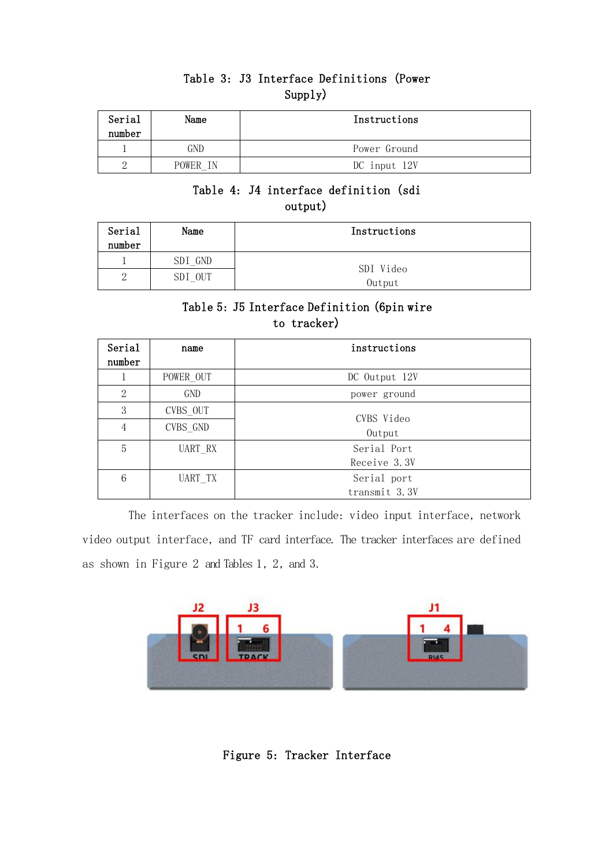### Table 3: J3 Interface Definitions (Power Supply).

| Serial<br>number | Name     | Instructions |
|------------------|----------|--------------|
|                  | GND      | Power Ground |
|                  | POWER IN | DC input 12V |

### Table 4: J4 interface definition (sdi output).

| Serial<br>number | Name    | Instructions        |
|------------------|---------|---------------------|
|                  | SDI GND |                     |
| റ<br>∠           | SDI OUT | SDI Video<br>Output |

## Table 5: J5 Interface Definition (6pin wire to tracker).

| Serial<br>number | name      | instructions         |
|------------------|-----------|----------------------|
|                  | POWER OUT | DC Output 12V        |
| $\overline{2}$   | GND       | power ground         |
| 3                | CVBS OUT  |                      |
| 4                | CVBS GND  | CVBS Video<br>Output |
| 5                | UART RX   | Serial Port          |
|                  |           | Receive 3.3V         |
| 6                | UART TX   | Serial port          |
|                  |           | transmit 3.3V        |

The interfaces on the tracker include: video input interface, network video output interface, and TF card interface. The tracker interfaces are defined as shown in Figure 2 and Tables 1, 2, and 3.



Figure 5: Tracker Interface